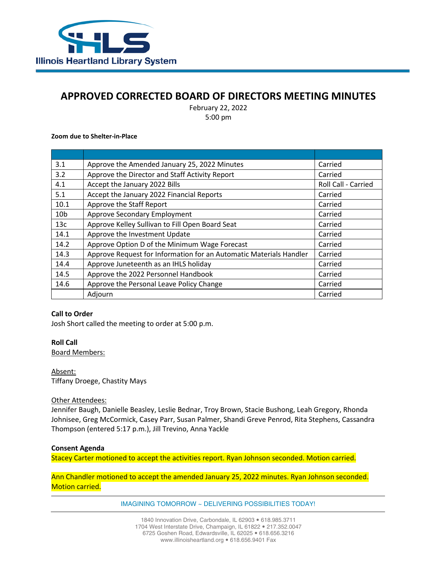

# **APPROVED CORRECTED BOARD OF DIRECTORS MEETING MINUTES**

February 22, 2022 5:00 pm

**Zoom due to Shelter-in-Place**

| 3.1             | Approve the Amended January 25, 2022 Minutes                       | Carried             |
|-----------------|--------------------------------------------------------------------|---------------------|
| 3.2             | Approve the Director and Staff Activity Report                     | Carried             |
| 4.1             | Accept the January 2022 Bills                                      | Roll Call - Carried |
| 5.1             | Accept the January 2022 Financial Reports                          | Carried             |
| 10.1            | Approve the Staff Report                                           | Carried             |
| 10 <sub>b</sub> | Approve Secondary Employment                                       | Carried             |
| 13 <sub>c</sub> | Approve Kelley Sullivan to Fill Open Board Seat                    | Carried             |
| 14.1            | Approve the Investment Update                                      | Carried             |
| 14.2            | Approve Option D of the Minimum Wage Forecast                      | Carried             |
| 14.3            | Approve Request for Information for an Automatic Materials Handler | Carried             |
| 14.4            | Approve Juneteenth as an IHLS holiday                              | Carried             |
| 14.5            | Approve the 2022 Personnel Handbook                                | Carried             |
| 14.6            | Approve the Personal Leave Policy Change                           | Carried             |
|                 | Adjourn                                                            | Carried             |

# **Call to Order**

Josh Short called the meeting to order at 5:00 p.m.

# **Roll Call**

Board Members:

Absent: Tiffany Droege, Chastity Mays

Other Attendees:

Jennifer Baugh, Danielle Beasley, Leslie Bednar, Troy Brown, Stacie Bushong, Leah Gregory, Rhonda Johnisee, Greg McCormick, Casey Parr, Susan Palmer, Shandi Greve Penrod, Rita Stephens, Cassandra Thompson (entered 5:17 p.m.), Jill Trevino, Anna Yackle

# **Consent Agenda**

Stacey Carter motioned to accept the activities report. Ryan Johnson seconded. Motion carried.

Ann Chandler motioned to accept the amended January 25, 2022 minutes. Ryan Johnson seconded. Motion carried.

IMAGINING TOMORROW ~ DELIVERING POSSIBILITIES TODAY!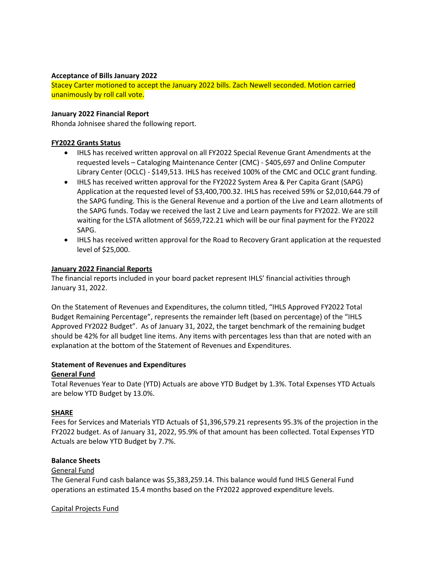# **Acceptance of Bills January 2022**

Stacey Carter motioned to accept the January 2022 bills. Zach Newell seconded. Motion carried unanimously by roll call vote.

### **January 2022 Financial Report**

Rhonda Johnisee shared the following report.

# **FY2022 Grants Status**

- IHLS has received written approval on all FY2022 Special Revenue Grant Amendments at the requested levels – Cataloging Maintenance Center (CMC) - \$405,697 and Online Computer Library Center (OCLC) - \$149,513. IHLS has received 100% of the CMC and OCLC grant funding.
- IHLS has received written approval for the FY2022 System Area & Per Capita Grant (SAPG) Application at the requested level of \$3,400,700.32. IHLS has received 59% or \$2,010,644.79 of the SAPG funding. This is the General Revenue and a portion of the Live and Learn allotments of the SAPG funds. Today we received the last 2 Live and Learn payments for FY2022. We are still waiting for the LSTA allotment of \$659,722.21 which will be our final payment for the FY2022 SAPG.
- IHLS has received written approval for the Road to Recovery Grant application at the requested level of \$25,000.

# **January 2022 Financial Reports**

The financial reports included in your board packet represent IHLS' financial activities through January 31, 2022.

On the Statement of Revenues and Expenditures, the column titled, "IHLS Approved FY2022 Total Budget Remaining Percentage", represents the remainder left (based on percentage) of the "IHLS Approved FY2022 Budget". As of January 31, 2022, the target benchmark of the remaining budget should be 42% for all budget line items. Any items with percentages less than that are noted with an explanation at the bottom of the Statement of Revenues and Expenditures.

# **Statement of Revenues and Expenditures**

### **General Fund**

Total Revenues Year to Date (YTD) Actuals are above YTD Budget by 1.3%. Total Expenses YTD Actuals are below YTD Budget by 13.0%.

# **SHARE**

Fees for Services and Materials YTD Actuals of \$1,396,579.21 represents 95.3% of the projection in the FY2022 budget. As of January 31, 2022, 95.9% of that amount has been collected. Total Expenses YTD Actuals are below YTD Budget by 7.7%.

# **Balance Sheets**

# General Fund

The General Fund cash balance was \$5,383,259.14. This balance would fund IHLS General Fund operations an estimated 15.4 months based on the FY2022 approved expenditure levels.

# Capital Projects Fund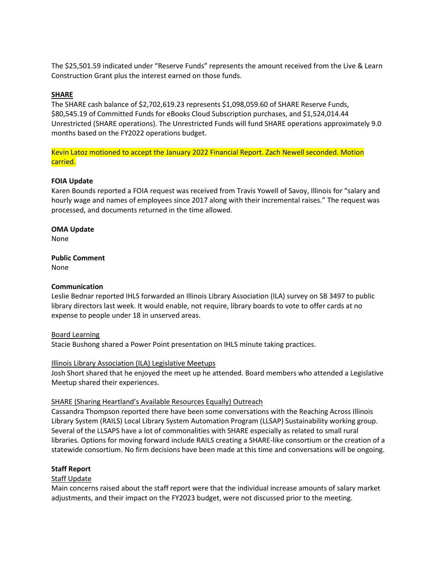The \$25,501.59 indicated under "Reserve Funds" represents the amount received from the Live & Learn Construction Grant plus the interest earned on those funds.

# **SHARE**

The SHARE cash balance of \$2,702,619.23 represents \$1,098,059.60 of SHARE Reserve Funds, \$80,545.19 of Committed Funds for eBooks Cloud Subscription purchases, and \$1,524,014.44 Unrestricted (SHARE operations). The Unrestricted Funds will fund SHARE operations approximately 9.0 months based on the FY2022 operations budget.

Kevin Latoz motioned to accept the January 2022 Financial Report. Zach Newell seconded. Motion carried.

# **FOIA Update**

Karen Bounds reported a FOIA request was received from Travis Yowell of Savoy, Illinois for "salary and hourly wage and names of employees since 2017 along with their incremental raises." The request was processed, and documents returned in the time allowed.

### **OMA Update**

None

### **Public Comment**

None

# **Communication**

Leslie Bednar reported IHLS forwarded an Illinois Library Association (ILA) survey on SB 3497 to public library directors last week. It would enable, not require, library boards to vote to offer cards at no expense to people under 18 in unserved areas.

### Board Learning

Stacie Bushong shared a Power Point presentation on IHLS minute taking practices.

### Illinois Library Association (ILA) Legislative Meetups

Josh Short shared that he enjoyed the meet up he attended. Board members who attended a Legislative Meetup shared their experiences.

### SHARE (Sharing Heartland's Available Resources Equally) Outreach

Cassandra Thompson reported there have been some conversations with the Reaching Across Illinois Library System (RAILS) Local Library System Automation Program (LLSAP) Sustainability working group. Several of the LLSAPS have a lot of commonalities with SHARE especially as related to small rural libraries. Options for moving forward include RAILS creating a SHARE-like consortium or the creation of a statewide consortium. No firm decisions have been made at this time and conversations will be ongoing.

# **Staff Report**

# **Staff Update**

Main concerns raised about the staff report were that the individual increase amounts of salary market adjustments, and their impact on the FY2023 budget, were not discussed prior to the meeting.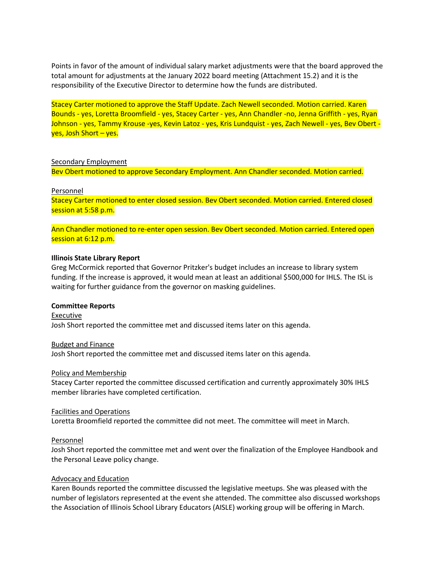Points in favor of the amount of individual salary market adjustments were that the board approved the total amount for adjustments at the January 2022 board meeting (Attachment 15.2) and it is the responsibility of the Executive Director to determine how the funds are distributed.

Stacey Carter motioned to approve the Staff Update. Zach Newell seconded. Motion carried. Karen Bounds - yes, Loretta Broomfield - yes, Stacey Carter - yes, Ann Chandler -no, Jenna Griffith - yes, Ryan Johnson - yes, Tammy Krouse -yes, Kevin Latoz - yes, Kris Lundquist - yes, Zach Newell - yes, Bev Obert yes, Josh Short – yes.

### Secondary Employment

Bev Obert motioned to approve Secondary Employment. Ann Chandler seconded. Motion carried.

#### Personnel

Stacey Carter motioned to enter closed session. Bev Obert seconded. Motion carried. Entered closed session at 5:58 p.m.

Ann Chandler motioned to re-enter open session. Bev Obert seconded. Motion carried. Entered open session at 6:12 p.m.

#### **Illinois State Library Report**

Greg McCormick reported that Governor Pritzker's budget includes an increase to library system funding. If the increase is approved, it would mean at least an additional \$500,000 for IHLS. The ISL is waiting for further guidance from the governor on masking guidelines.

### **Committee Reports**

Executive Josh Short reported the committee met and discussed items later on this agenda.

### Budget and Finance

Josh Short reported the committee met and discussed items later on this agenda.

#### Policy and Membership

Stacey Carter reported the committee discussed certification and currently approximately 30% IHLS member libraries have completed certification.

#### Facilities and Operations

Loretta Broomfield reported the committee did not meet. The committee will meet in March.

#### Personnel

Josh Short reported the committee met and went over the finalization of the Employee Handbook and the Personal Leave policy change.

### Advocacy and Education

Karen Bounds reported the committee discussed the legislative meetups. She was pleased with the number of legislators represented at the event she attended. The committee also discussed workshops the Association of Illinois School Library Educators (AISLE) working group will be offering in March.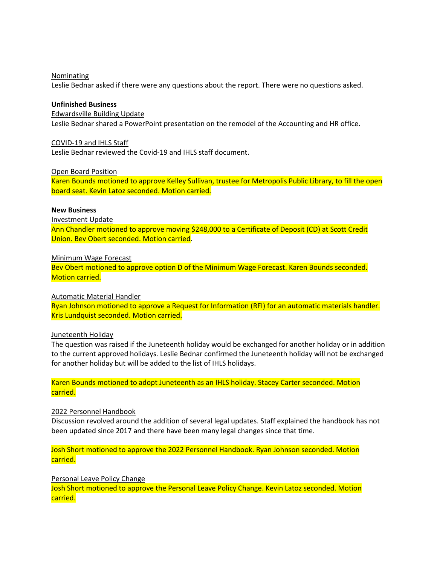Nominating

Leslie Bednar asked if there were any questions about the report. There were no questions asked.

# **Unfinished Business**

Edwardsville Building Update Leslie Bednar shared a PowerPoint presentation on the remodel of the Accounting and HR office.

# COVID-19 and IHLS Staff

Leslie Bednar reviewed the Covid-19 and IHLS staff document.

# Open Board Position

Karen Bounds motioned to approve Kelley Sullivan, trustee for Metropolis Public Library, to fill the open board seat. Kevin Latoz seconded. Motion carried.

# **New Business**

Investment Update

Ann Chandler motioned to approve moving \$248,000 to a Certificate of Deposit (CD) at Scott Credit Union. Bev Obert seconded. Motion carried.

# Minimum Wage Forecast

Bev Obert motioned to approve option D of the Minimum Wage Forecast. Karen Bounds seconded. Motion carried.

# Automatic Material Handler

Ryan Johnson motioned to approve a Request for Information (RFI) for an automatic materials handler. Kris Lundquist seconded. Motion carried.

# Juneteenth Holiday

The question was raised if the Juneteenth holiday would be exchanged for another holiday or in addition to the current approved holidays. Leslie Bednar confirmed the Juneteenth holiday will not be exchanged for another holiday but will be added to the list of IHLS holidays.

Karen Bounds motioned to adopt Juneteenth as an IHLS holiday. Stacey Carter seconded. Motion carried.

# 2022 Personnel Handbook

Discussion revolved around the addition of several legal updates. Staff explained the handbook has not been updated since 2017 and there have been many legal changes since that time.

Josh Short motioned to approve the 2022 Personnel Handbook. Ryan Johnson seconded. Motion carried.

# Personal Leave Policy Change

Josh Short motioned to approve the Personal Leave Policy Change. Kevin Latoz seconded. Motion carried.